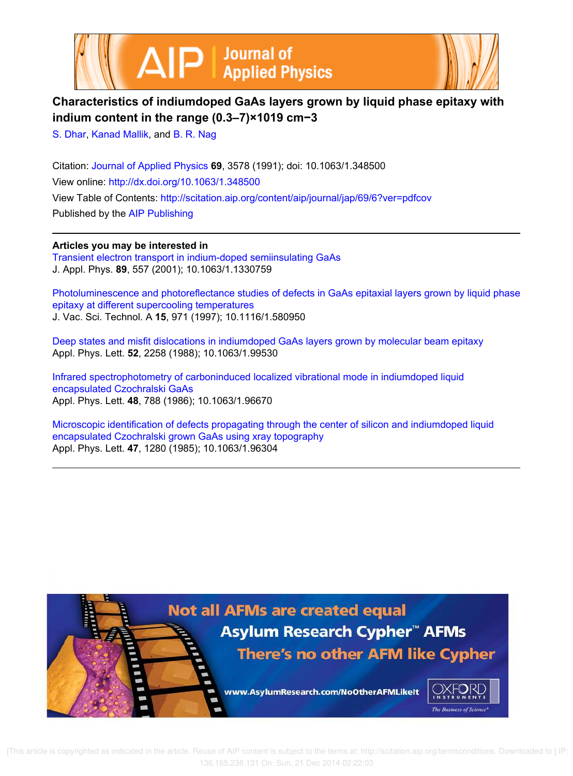



# **Characteristics of indiumdoped GaAs layers grown by liquid phase epitaxy with indium content in the range (0.3–7)×1019 cm−3**

S. Dhar, Kanad Mallik, and B. R. Nag

Citation: Journal of Applied Physics **69**, 3578 (1991); doi: 10.1063/1.348500 View online: http://dx.doi.org/10.1063/1.348500 View Table of Contents: http://scitation.aip.org/content/aip/journal/jap/69/6?ver=pdfcov Published by the AIP Publishing

**Articles you may be interested in** Transient electron transport in indium-doped semiinsulating GaAs J. Appl. Phys. **89**, 557 (2001); 10.1063/1.1330759

Photoluminescence and photoreflectance studies of defects in GaAs epitaxial layers grown by liquid phase epitaxy at different supercooling temperatures J. Vac. Sci. Technol. A **15**, 971 (1997); 10.1116/1.580950

Deep states and misfit dislocations in indiumdoped GaAs layers grown by molecular beam epitaxy Appl. Phys. Lett. **52**, 2258 (1988); 10.1063/1.99530

Infrared spectrophotometry of carboninduced localized vibrational mode in indiumdoped liquid encapsulated Czochralski GaAs Appl. Phys. Lett. **48**, 788 (1986); 10.1063/1.96670

Microscopic identification of defects propagating through the center of silicon and indiumdoped liquid encapsulated Czochralski grown GaAs using xray topography Appl. Phys. Lett. **47**, 1280 (1985); 10.1063/1.96304

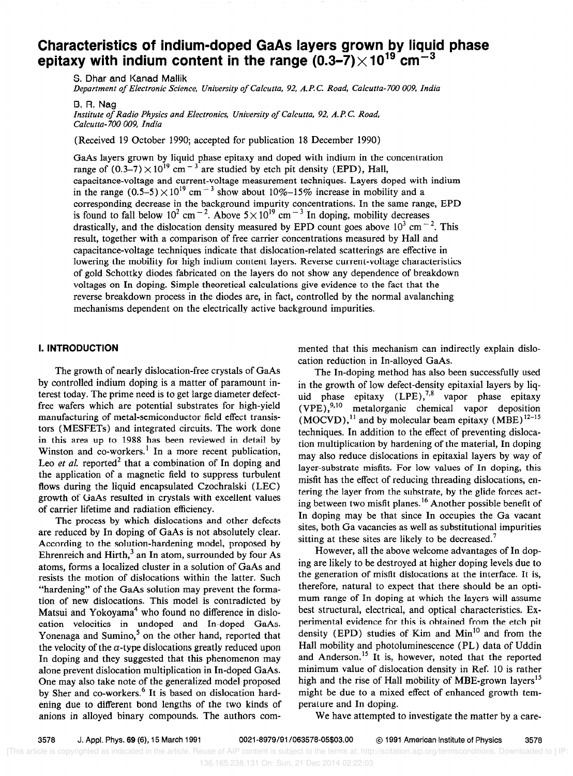# Characteristics of indium-doped GaAs layers grown by liquid phase epitaxy with indium content in the range  $(0.3-\tilde{7})\times10^{19}$  cm<sup>-3</sup>

S. Dhar and Kanad Mallik Department of Electronic Science, University of Calcutta, 92, A. P. C. Road, Calcutta- 700 009, India

B. R. Nag

Institute of Radio Physics and Electronics, University of Calcutta, 92, A.P. C. Road, Calcutta- 700 009, India

(Received 19 October 1990; accepted for publication 18 December 1990)

GaAs layers grown by liquid phase epitaxy and doped with indium in the concentration range of  $(0.3-7) \times 10^{19}$  cm  $^{-3}$  are studied by etch pit density (EPD), Hall, capacitance-voltage and current-voltage measurement techniques. Layers doped with indium in the range  $(0.5-5) \times 10^{19}$  cm<sup>-3</sup> show about 10%-15% increase in mobility and a corresponding decrease in the background impurity concentrations. In the same range, EPD is found to fall below  $10^2$  cm<sup>-2</sup>. Above  $5\times 10^{19}$  cm<sup>-3</sup> In doping, mobility decreases drastically, and the dislocation density measured by EPD count goes above  $10^3$  cm<sup>-2</sup>. This result, together with a comparison of free carrier concentrations measured by Hall and capacitance-voltage techniques indicate that dislocation-related scatterings are effective in lowering the mobility for high indium content layers. Reverse current-voltage characteristics of gold Schottky diodes fabricated on the layers do not show any dependence of breakdown voltages on In doping. Simple theoretical calculations give evidence to the fact that the reverse breakdown process in the diodes are, in fact, controlled by the normal avalanching mechanisms dependent on the electrically active background impurities.

## I. INTRODUCTION

The growth of nearly dislocation-free crystals of GaAs by controlled indium doping is a matter of paramount interest today. The prime need is to get large diameter defectfree wafers which are potential substrates for high-yield manufacturing of metal-semiconductor field effect transistors (MESFETs) and integrated circuits. The work done in this area up to 1988 has been reviewed in detail by Winston and co-workers.' In a more recent publication, Leo *et al.* reported<sup>2</sup> that a combination of In doping and the application of a magnetic field to suppress turbulent flows during the liquid encapsulated Czochralski (LEC) growth of GaAs resulted in crystals with excellent values of carrier lifetime and radiation efficiency.

The process by which dislocations and other defects are reduced by In doping of GaAs is not absolutely clear. According to the solution-hardening model, proposed by Ehrenreich and Hirth, $3$  an In atom, surrounded by four As atoms, forms a localized cluster in a solution of GaAs and resists the motion of dislocations within the latter. Such "hardening" of the GaAs solution may prevent the formation of new dislocations. This model is contradicted by Matsui and Yokoyama<sup>4</sup> who found no difference in dislocation velocities in undoped and In-doped GaAs. Yonenaga and Sumino,<sup>5</sup> on the other hand, reported that the velocity of the  $\alpha$ -type dislocations greatly reduced upon In doping and they suggested that this phenomenon may alone prevent dislocation multiplication in In-doped GaAs. One may also take note of the generalized model proposed by Sher and co-workers.<sup>6</sup> It is based on dislocation hardening due to different bond lengths of the two kinds of anions in alloyed binary compounds. The authors commented that this mechanism can indirectly explain dislocation reduction in In-alloyed GaAs.

The In-doping method has also been successfully used in the growth of low defect-density epitaxial layers by liquid phase epitaxy  $(LPE)$ ,<sup>7,8</sup> vapor phase epitaxy  $(VPE)$ ,<sup>9,10</sup> metalorganic chemical vapor deposition  $(MOCVD)$ ,<sup>11</sup> and by molecular beam epitaxy  $(MBE)^{12-15}$ techniques. In addition to the effect of preventing dislocation multiplication by hardening of the material, In doping may also reduce dislocations in epitaxial layers by way of layer-substrate misfits. For low values of In doping, this misfit has the effect of reducing threading dislocations, entering the layer from the substrate, by the glide forces acting between two misfit planes.<sup>16</sup> Another possible benefit of In doping may be that since In occupies the Ga vacant sites, both Ga vacancies as well as substitutional impurities sitting at these sites are likely to be decreased.<sup>7</sup>

However, all the above welcome advantages of In doping are likely to be destroyed at higher doping levels due to the generation of misfit dislocations at the interface. It is, therefore, natural to expect that there should be an optimum range of In doping at which the layers will assume best structural, electrical, and optical characteristics. Experimental evidence for this is obtained from the etch pit density (EPD) studies of Kim and  $Min<sup>10</sup>$  and from the Hall mobility and photoluminescence (PL) data of Uddin and Anderson.<sup>15</sup> It is, however, noted that the reported minimum value of dislocation density in Ref. 10 is rather high and the rise of Hall mobility of MBE-grown layers<sup>15</sup> might be due to a mixed effect of enhanced growth temperature and In doping.

We have attempted to investigate the matter by a care-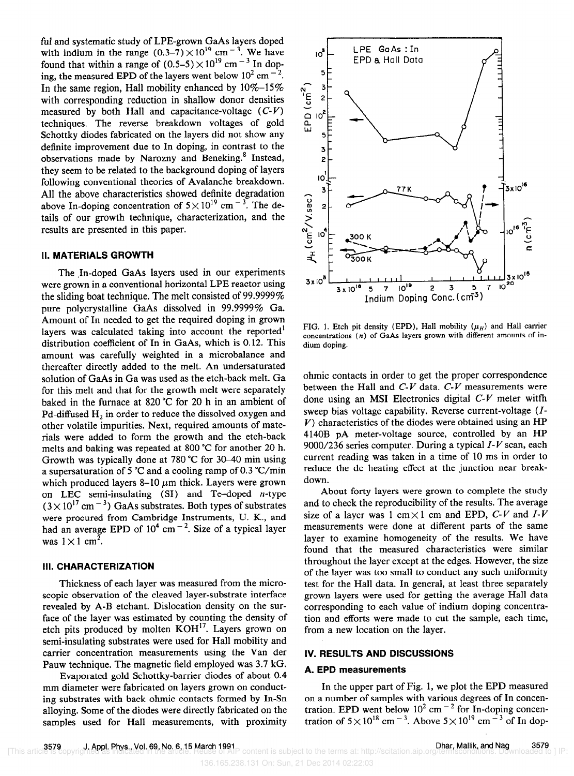ful and systematic study of LPE-grown GaAs layers doped with indium in the range  $(0.3-7) \times 10^{19}$  cm<sup>-3</sup>. We have found that within a range of  $(0.5-5) \times 10^{19}$  cm<sup>-3</sup> In doping, the measured EPD of the layers went below  $10^2$  cm<sup>-2</sup>. In the same region, Hall mobility enhanced by  $10\% - 15\%$ with corresponding reduction in shallow donor densities measured by both Hall and capacitance-voltage  $(C-V)$ techniques. The reverse breakdown voltages of gold Schottky diodes fabricated on the layers did not show any definite improvement due to In doping, in contrast to the observations made by Narozny and Beneking.<sup>8</sup> Instead. they seem to be related to the background doping of layers following conventional theories of Avalanche breakdown. All the above characteristics showed definite degradation above In-doping concentration of  $5 \times 10^{19}$  cm<sup>-3</sup>. The details of our growth technique, characterization, and the results are presented in this paper.

### II. MATERIALS GROWTH

The In-doped GaAs layers used in our experiments were grown in a conventional horizontal LPE reactor using the sliding boat technique. The melt consisted of 99.9999% pure polycrystalline GaAs dissolved in 99.9999% Ga. Amount of In needed to get the required doping in grown layers was calculated taking into account the reported' distribution coefficient of In in GaAs, which is 0.12. This amount was carefully weighted in a microbalance and thereafter directly added to the melt. An undersaturated solution of GaAs in Ga was used as the etch-back melt. Ga for this melt and that for the growth melt were separately baked in the furnace at 820 "C for 20 h in an ambient of Pd-diffused  $H_2$  in order to reduce the dissolved oxygen and other volatile impurities. Next, required amounts of materials were added to form the growth and the etch-back melts and baking was repeated at 800 "C for another 20 h. Growth was typically done at 780 "C for 30-40 min using a supersaturation of 5 "C and a cooling ramp of 0.3 "C/min which produced layers 8-10  $\mu$ m thick. Layers were grown on LEC semi-insulating  $(SI)$  and Te-doped *n*-type  $(3 \times 10^{17} \text{ cm}^{-3})$  GaAs substrates. Both types of substrates were procured from Cambridge Instruments, U. K., and had an average EPD of  $10^4$  cm<sup>-2</sup>. Size of a typical laver was  $1 \times 1$  cm<sup>2</sup>.

#### Ill. CHARACTERIZATION

Thickness of each layer was measured from the microscopic observation of the cleaved layer-substrate interface revealed by A-B etchant. Dislocation density on the surface of the layer was estimated by counting the density of etch pits produced by molten KOH<sup>17</sup>. Layers grown on semi-insulating substrates were used for Hall mobility and carrier concentration measurements using the Van der Pauw technique. The magnetic field employed was 3.7 kG.

Evaporated gold Schottky-barrier diodes of about 0.4 mm diameter were fabricated on layers grown on conducting substrates with back ohmic contacts formed by In-Sn alloying. Some of the diodes were directly fabricated on the samples used for Hall measurements, with proximity



FIG. 1. Etch pit density (EPD), Hall mobility  $(\mu_H)$  and Hall carrier concentrations (n) of GaAs layers grown with different amounts of indium doping.

ohmic contacts in order to get the proper correspondence between the Hall and  $C-V$  data.  $C-V$  measurements were done using an MS1 Electronics digital C-V meter witfh sweep bias voltage capability. Reverse current-voltage (I- $V$ ) characteristics of the diodes were obtained using an HP 4140B pA meter-voltage source, controlled by an HP 9000/236 series computer. During a typical  $I-V$  scan, each current reading was taken in a time of 10 ms in order to reduce the dc heating effect at the junction near breakdown.

About forty layers were grown to complete the study and to check the reproducibility of the results. The average size of a layer was 1 cm $\times$ 1 cm and EPD, C-V and I-V measurements were done at different parts of the same layer to examine homogeneity of the results. We have found that the measured characteristics were similar throughout the layer except at the edges. However, the size of the layer was too small to conduct any such uniformity test for the Hall data. In general, at least three separately grown layers were used for getting the average Hall data corresponding to each value of indium doping concentration and efforts were made to cut the sample, each time, from a new location on the layer.

# IV. RESULTS AND DISCUSSIONS

#### A. EPD measurements

In the upper part of Fig. 1, we plot the EPD measured on a number of samples with various degrees of In concentration. EPD went below  $10^2$  cm  $^{-2}$  for In-doping concentration of  $5 \times 10^{18}$  cm<sup>-3</sup>. Above  $5 \times 10^{19}$  cm<sup>-3</sup> of In dop-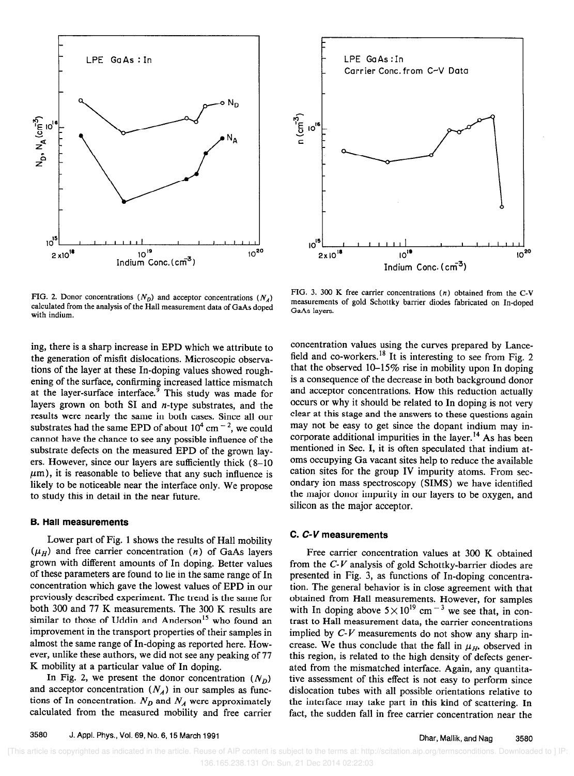



FIG. 2. Donor concentrations  $(N_p)$  and acceptor concentrations  $(N_A)$ calculated from the analysis of the Hall measurement data of GaAs doped with indium.

ing, there is a sharp increase in EPD which we attribute to the generation of misfit dislocations. Microscopic observations of the layer at these In-doping values showed roughening of the surface, confirming increased lattice mismatch at the layer-surface interface.<sup> $\frac{3}{7}$ </sup> This study was made for layers grown on both SI and  $n$ -type substrates, and the results were nearly the same in both cases. Since all our substrates had the same EPD of about  $10^4$  cm  $^{-2}$ , we could cannot have the chance to see any possible influence of the substrate defects on the measured EPD of the grown layers. However, since our layers are sufficiently thick (8-10  $\mu$ m), it is reasonable to believe that any such influence is likely to be noticeable near the interface only. We propose to study this in detail in the near future.

#### B. Hall measurements

Lower part of Fig. 1 shows the results of Hall mobility  $(\mu_H)$  and free carrier concentration (n) of GaAs layers grown with different amounts of In doping. Better values of these parameters are found to lie in the same range of In concentration which gave the lowest values of EPD in our previously described experiment. The trend is the same for both 300 and 77 K measurements. The 300 K results are similar to those of Uddin and Anderson<sup>15</sup> who found an improvement in the transport properties of their samples in almost the same range of In-doping as reported here. However, unlike these authors, we did not see any peaking of 77 K mobility at a particular value of In doping.

In Fig. 2, we present the donor concentration  $(N_D)$ and acceptor concentration  $(N_A)$  in our samples as functions of In concentration.  $N_D$  and  $N_A$  were approximately calculated from the measured mobility and free carrier

FIG. 3. 300 K free carrier concentrations (n) obtained from the C-V measurements of gold Schottky barrier diodes fabricated on In-doped GaAs layers.

concentration values using the curves prepared by Lancefield and co-workers.<sup>18</sup> It is interesting to see from Fig. 2 that the observed lO-15% rise in mobility upon In doping is a consequence of the decrease in both background donor and acceptor concentrations. How this reduction actually occurs or why it should be related to In doping is not very clear at this stage and the answers to these questions again may not be easy to get since the dopant indium may incorporate additional impurities in the layer.<sup>14</sup> As has been mentioned in Sec. I, it is often speculated that indium atoms occupying Ga vacant sites help to reduce the available cation sites for the group IV impurity atoms. From secondary ion mass spectroscopy (SIMS) we have identified the major donor impurity in our layers to be oxygen, and silicon as the major acceptor.

#### C. C-V measurements

Free carrier concentration values at 300 K obtained from the  $C-V$  analysis of gold Schottky-barrier diodes are presented in Fig. 3, as functions of In-doping concentration. The general behavior is in close agreement with that obtained from Hall measurements. However, for samples with In doping above  $5 \times 10^{19}$  cm<sup>-3</sup> we see that, in contrast to Hall measurement data, the carrier concentrations implied by  $C-V$  measurements do not show any sharp increase. We thus conclude that the fall in  $\mu_{H}$ , observed in this region, is related to the high density of defects generated from the mismatched interface. Again, any quantitative assessment of this effect is not easy to perform since dislocation tubes with all possible orientations relative to the interface may take part in this kind of scattering. In fact, the sudden fall in free carrier concentration near the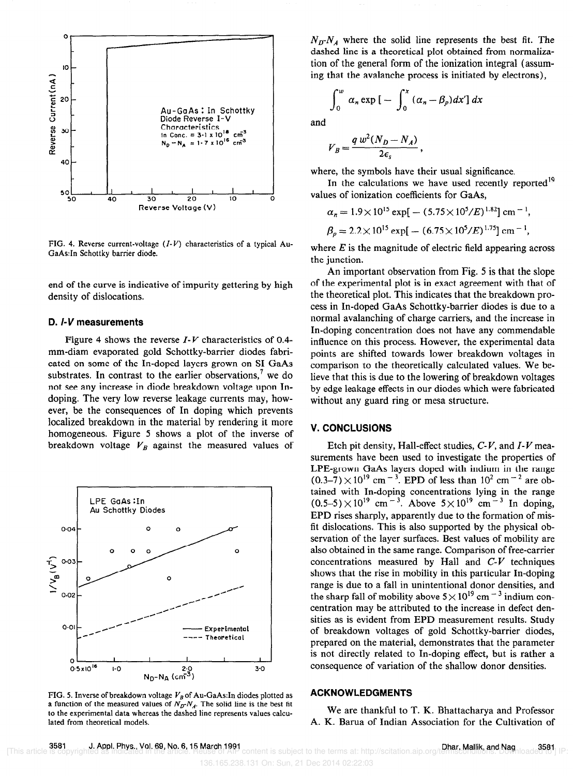

FIG. 4. Reverse current-voltage  $(I-V)$  characteristics of a typical Au-GaAs:In Schottky barrier diode.

end of the curve is indicative of impurity gettering by high density of dislocations.

#### D. I-V measurements

Figure 4 shows the reverse  $I-V$  characteristics of 0.4mm-diam evaporated gold Schottky-barrier diodes fabricated on some of the In-doped layers grown on SI GaAs substrates. In contrast to the earlier observations,<sup>7</sup> we do not see any increase in diode breakdown voltage upon Indoping. The very low reverse leakage currents may, however, be the consequences of In doping which prevents localized breakdown in the material by rendering it more homogeneous. Figure 5 shows a plot of the inverse of breakdown voltage  $V_B$  against the measured values of



FIG. 5. Inverse of breakdown voltage  $V_B$  of Au-GaAs:In diodes plotted as a function of the measured values of  $N_p - N_d$ . The solid line is the best fit to the experimental data whereas the dashed line represents values calculated from theoretical models.

 $N_D N_A$  where the solid line represents the best fit. The dashed line is a theoretical plot obtained from normalization of the general form of the ionization integral (assuming that the avalanche process is initiated by electrons),

$$
\int_0^w a_n \exp\big[-\int_0^x (\alpha_n - \beta_p) dx'\big] dx
$$

and

$$
V_B = \frac{q w^2 (N_D - N_A)}{2\epsilon_s},
$$

where, the symbols have their usual significance.

In the calculations we have used recently reported<sup>19</sup> values of ionization coefficients for GaAs,

$$
\alpha_n = 1.9 \times 10^{15} \exp[-(5.75 \times 10^5/E)^{1.82}] \text{ cm}^{-1},
$$
  

$$
\beta_p = 2.2 \times 10^{15} \exp[-(6.75 \times 10^5/E)^{1.75}] \text{ cm}^{-1},
$$

where  $E$  is the magnitude of electric field appearing across the junction.

An important observation from Fig. 5 is that the slope of the experimental plot is in exact agreement with that of the theoretical plot. This indicates that the breakdown process in In-doped GaAs Schottky-barrier diodes is due to a normal avalanching of charge carriers, and the increase in In-doping concentration does not have any commendable influence on this process. However, the experimental data points are shifted towards lower breakdown voltages in comparison to the theoretically calculated values. We believe that this is due to the lowering of breakdown voltages by edge leakage effects in our diodes which were fabricated without any guard ring or mesa structure.

# V. CONCLUSIONS

Etch pit density, Hall-effect studies,  $C-V$ , and  $I-V$  measurements have been used to investigate the properties of LPE-grown GaAs layers doped with indium in the range  $(0.3-7) \times 10^{19}$  cm<sup>-3</sup>. EPD of less than  $10^2$  cm<sup>-2</sup> are obtained with In-doping concentrations lying in the range  $(0.5-5) \times 10^{19}$  cm<sup>-3</sup>. Above  $5 \times 10^{19}$  cm<sup>-3</sup> In doping, EPD rises sharply, apparently due to the formation of misfit dislocations. This is also supported by the physical observation of the layer surfaces. Best values of mobility are also obtained in the same range. Comparison of free-carrier concentrations measured by Hall and  $C-V$  techniques shows that the rise in mobility in this particular In-doping range is due to a fall in unintentional donor densities, and the sharp fall of mobility above  $5 \times 10^{19}$  cm<sup>-3</sup> indium concentration may be attributed to the increase in defect densities as is evident from EPD measurement results. Study of breakdown voltages of gold Schottky-barrier diodes, prepared on the material, demonstrates that the parameter is not directly related to In-doping effect, but is rather a consequence of variation of the shallow donor densities.

### ACKNOWLEDGMENTS

We are thankful to T. K. Bhattacharya and Professor A. K. Barua of Indian Association for the Cultivation of

136.165.238.131 On: Sun, 21 Dec 2014 02:22:03